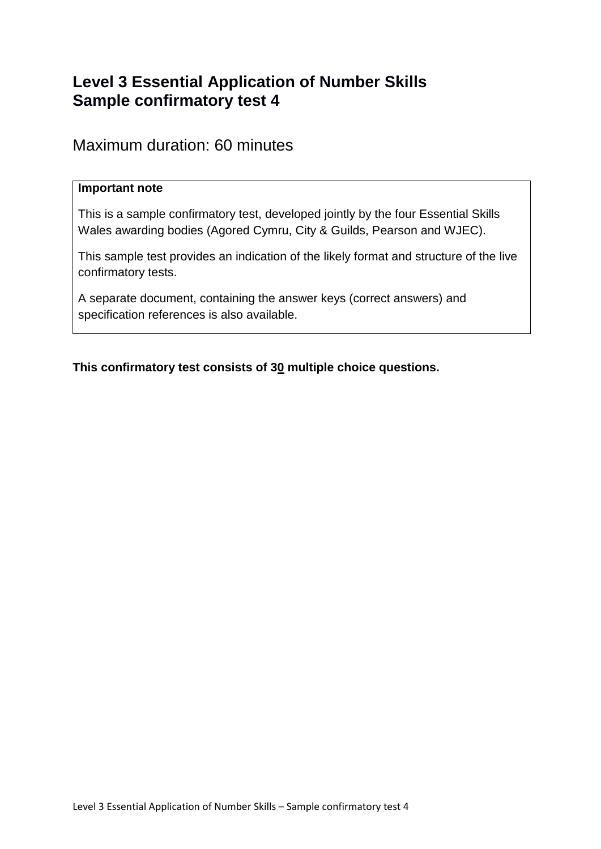# **Level 3 Essential Application of Number Skills Sample confirmatory test 4**

## Maximum duration: 60 minutes

### **Important note**

This is a sample confirmatory test, developed jointly by the four Essential Skills Wales awarding bodies (Agored Cymru, City & Guilds, Pearson and WJEC).

This sample test provides an indication of the likely format and structure of the live confirmatory tests.

A separate document, containing the answer keys (correct answers) and specification references is also available.

**This confirmatory test consists of 30 multiple choice questions.**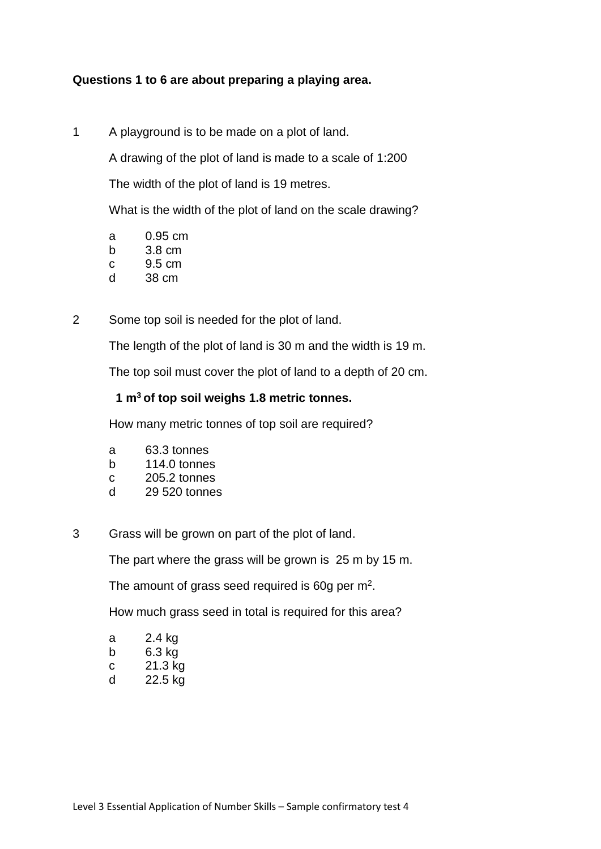## **Questions 1 to 6 are about preparing a playing area.**

1 A playground is to be made on a plot of land.

A drawing of the plot of land is made to a scale of 1:200

The width of the plot of land is 19 metres.

What is the width of the plot of land on the scale drawing?

- a 0.95 cm
- b 3.8 cm
- c 9.5 cm
- d 38 cm
- 2 Some top soil is needed for the plot of land.

The length of the plot of land is 30 m and the width is 19 m.

The top soil must cover the plot of land to a depth of 20 cm.

## **1 m<sup>3</sup>of top soil weighs 1.8 metric tonnes.**

How many metric tonnes of top soil are required?

- a 63.3 tonnes
- b 114.0 tonnes
- c 205.2 tonnes
- d 29 520 tonnes
- 3 Grass will be grown on part of the plot of land.

The part where the grass will be grown is 25 m by 15 m.

The amount of grass seed required is 60g per  $m^2$ .

How much grass seed in total is required for this area?

| а | 2.4 kg                                     |
|---|--------------------------------------------|
| b | 6.3 kg                                     |
| C | 21.3 kg                                    |
| ᅬ | $\Omega$ $\Omega$ $\Gamma$ $\Omega$ $\sim$ |

d 22.5 kg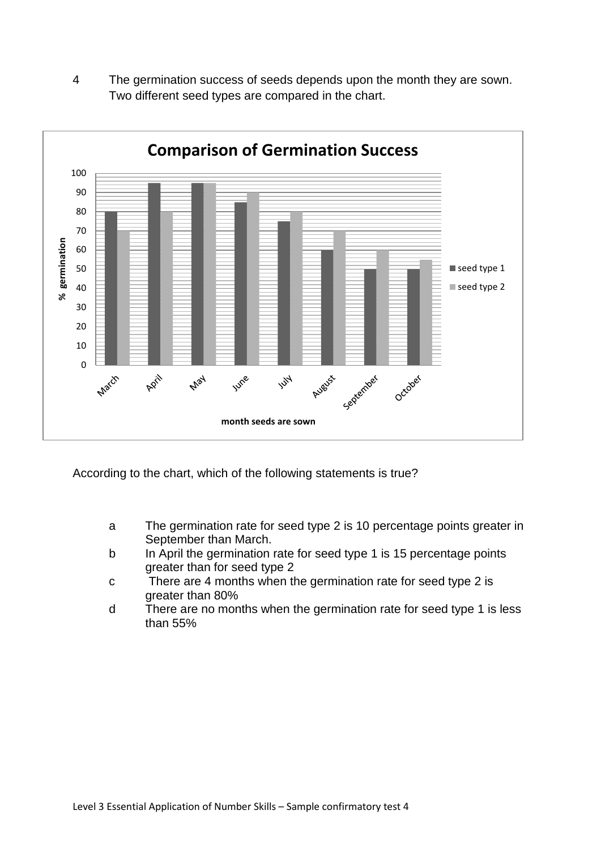4 The germination success of seeds depends upon the month they are sown. Two different seed types are compared in the chart.



According to the chart, which of the following statements is true?

- a The germination rate for seed type 2 is 10 percentage points greater in September than March.
- b In April the germination rate for seed type 1 is 15 percentage points greater than for seed type 2
- c There are 4 months when the germination rate for seed type 2 is greater than 80%
- d There are no months when the germination rate for seed type 1 is less than 55%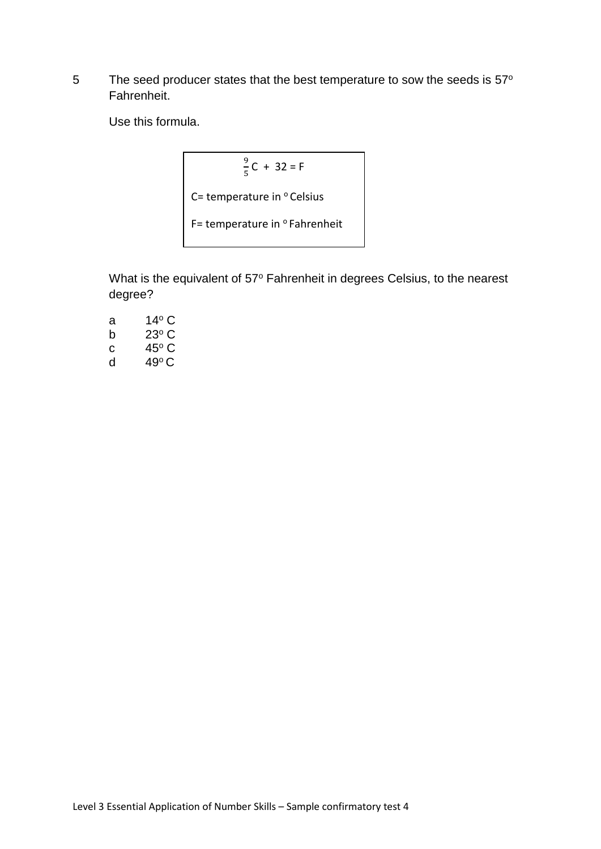5 The seed producer states that the best temperature to sow the seeds is 57° Fahrenheit.

Use this formula.

$$
\frac{9}{5}C + 32 = F
$$
  
C= temperature in <sup>o</sup> Celsius  
F= temperature in <sup>o</sup>Fahrenheit

What is the equivalent of 57° Fahrenheit in degrees Celsius, to the nearest degree?

| a | 14º C |
|---|-------|
| b | 23° C |
| С | 45° C |
| d | 49°C  |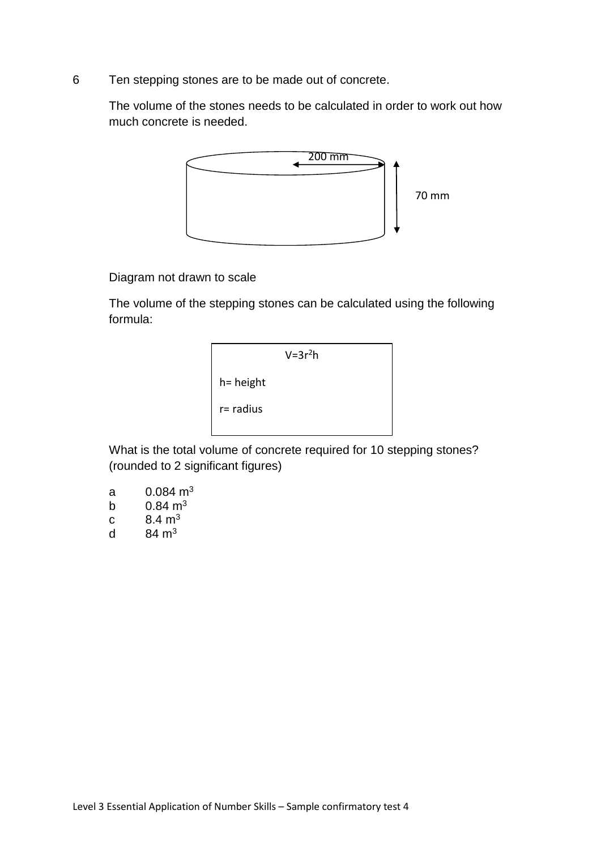6 Ten stepping stones are to be made out of concrete.

The volume of the stones needs to be calculated in order to work out how much concrete is needed.



Diagram not drawn to scale

The volume of the stepping stones can be calculated using the following formula:



What is the total volume of concrete required for 10 stepping stones? (rounded to 2 significant figures)

- a  $0.084 \text{ m}^3$
- b  $0.84 \text{ m}^3$
- c  $8.4 \text{ m}^3$
- d  $84 \text{ m}^3$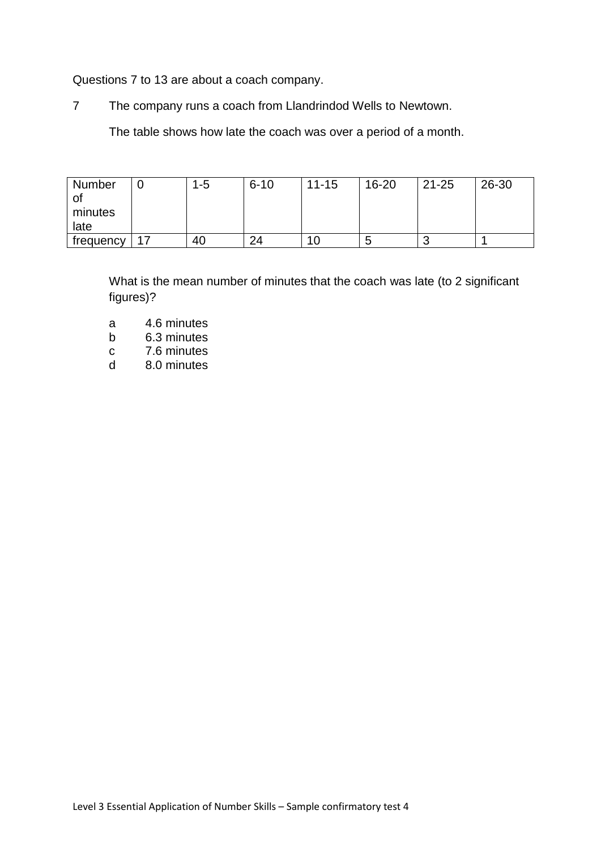Questions 7 to 13 are about a coach company.

7 The company runs a coach from Llandrindod Wells to Newtown.

The table shows how late the coach was over a period of a month.

| Number    | $1 - 5$ | $6 - 10$ | $11 - 15$ | $16 - 20$ | $21 - 25$ | 26-30 |
|-----------|---------|----------|-----------|-----------|-----------|-------|
|           |         |          |           |           |           |       |
| minutes   |         |          |           |           |           |       |
| late      |         |          |           |           |           |       |
| frequency | 40      | 24       | 1 U I     | C         |           |       |

What is the mean number of minutes that the coach was late (to 2 significant figures)?

- a 4.6 minutes
- b 6.3 minutes
- 
- c 7.6 minutes<br>d 8.0 minutes 8.0 minutes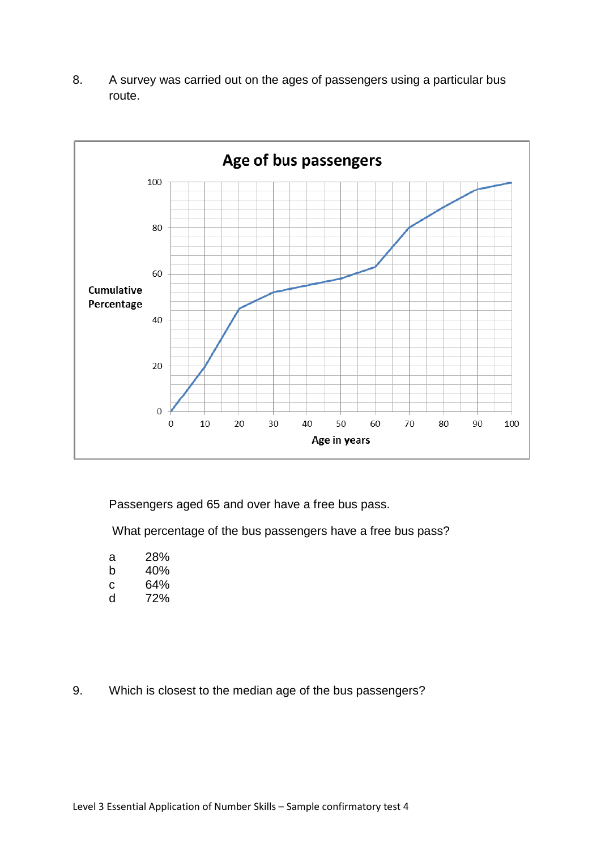8. A survey was carried out on the ages of passengers using a particular bus route.



Passengers aged 65 and over have a free bus pass.

What percentage of the bus passengers have a free bus pass?

- a 28%<br>b 40%
- 40%
- c 64%
- d 72%
- 9. Which is closest to the median age of the bus passengers?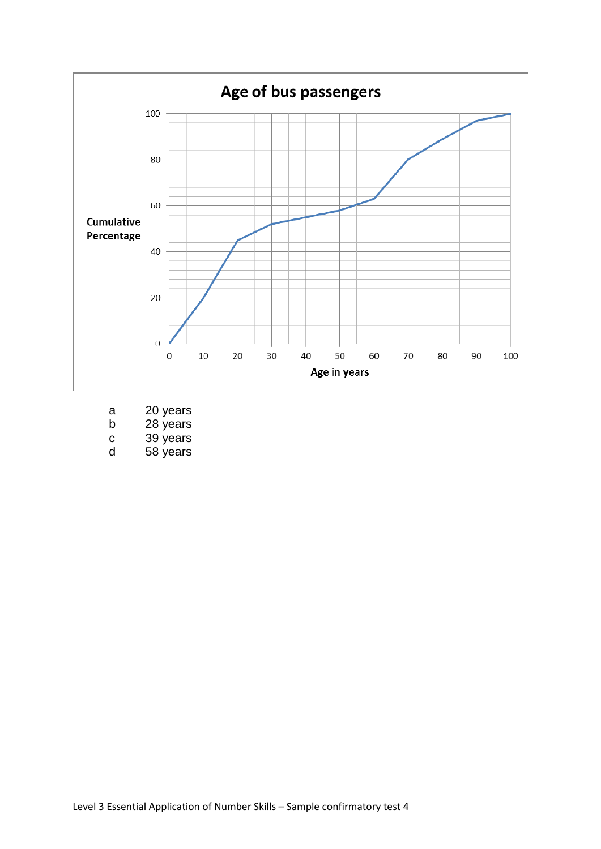

- a 20 years
- b 28 years
- c 39 years<br>d 58 years
- 58 years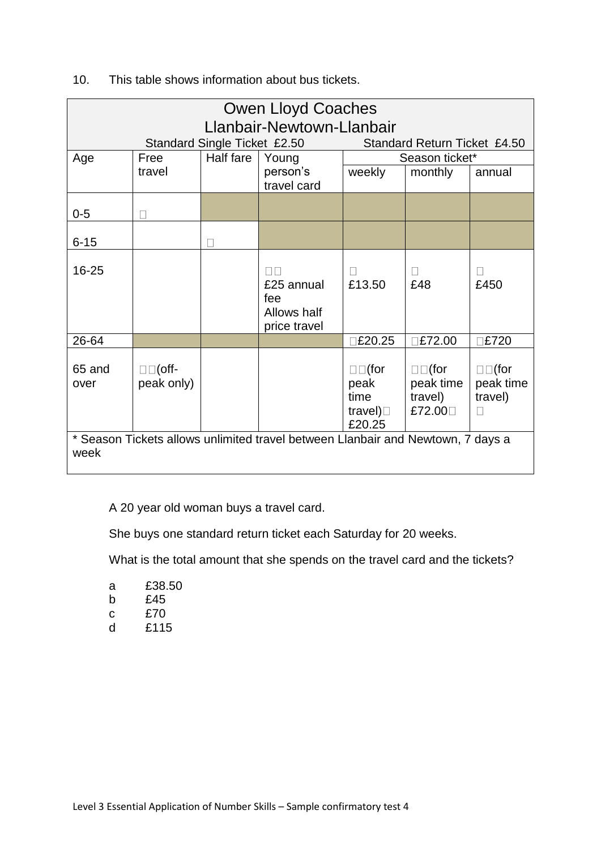|    |      | Owen Lloyd Coaches           |                        |
|----|------|------------------------------|------------------------|
|    |      | Llanbair-Newtown-Llanbair    |                        |
|    |      | Standard Single Ticket £2.50 | <b>Standard Return</b> |
| Δα | Froo | Half fare   Voung            | Sasson t               |

## 10. This table shows information about bus tickets.

|                                                              |            |           | LiaHvall-Newtowii-LiaHvall                                                      |                        |                        |              |
|--------------------------------------------------------------|------------|-----------|---------------------------------------------------------------------------------|------------------------|------------------------|--------------|
| Standard Single Ticket £2.50<br>Standard Return Ticket £4.50 |            |           |                                                                                 |                        |                        |              |
| Age                                                          | Free       | Half fare | Young                                                                           |                        | Season ticket*         |              |
|                                                              | travel     |           | person's                                                                        | weekly                 | monthly                | annual       |
|                                                              |            |           | travel card                                                                     |                        |                        |              |
|                                                              |            |           |                                                                                 |                        |                        |              |
| $0-5$                                                        |            |           |                                                                                 |                        |                        |              |
|                                                              |            |           |                                                                                 |                        |                        |              |
| $6 - 15$                                                     |            |           |                                                                                 |                        |                        |              |
|                                                              |            |           |                                                                                 |                        |                        |              |
| $16 - 25$                                                    |            |           |                                                                                 |                        |                        | $\mathbf{L}$ |
|                                                              |            |           | £25 annual                                                                      | £13.50                 | £48                    | £450         |
|                                                              |            |           | fee                                                                             |                        |                        |              |
|                                                              |            |           | Allows half                                                                     |                        |                        |              |
|                                                              |            |           | price travel                                                                    |                        |                        |              |
| 26-64                                                        |            |           |                                                                                 | £20.25                 | £72.00                 | E720         |
|                                                              |            |           |                                                                                 |                        |                        |              |
| 65 and                                                       | $□□($ off- |           |                                                                                 | $\square \square$ (for | $\square \square$ (for | $□□$ (for    |
| over                                                         | peak only) |           |                                                                                 | peak                   | peak time              | peak time    |
|                                                              |            |           |                                                                                 | time                   | travel)                | travel)      |
|                                                              |            |           |                                                                                 | travel) $\Box$         | £72.00□                | П            |
|                                                              |            |           |                                                                                 | £20.25                 |                        |              |
|                                                              |            |           | * Season Tickets allows unlimited travel between Llanbair and Newtown, 7 days a |                        |                        |              |
| week                                                         |            |           |                                                                                 |                        |                        |              |
|                                                              |            |           |                                                                                 |                        |                        |              |

A 20 year old woman buys a travel card.

She buys one standard return ticket each Saturday for 20 weeks.

What is the total amount that she spends on the travel card and the tickets?

| a | £38.50 |
|---|--------|
| b | £45    |
| C | £70    |
| d | £115   |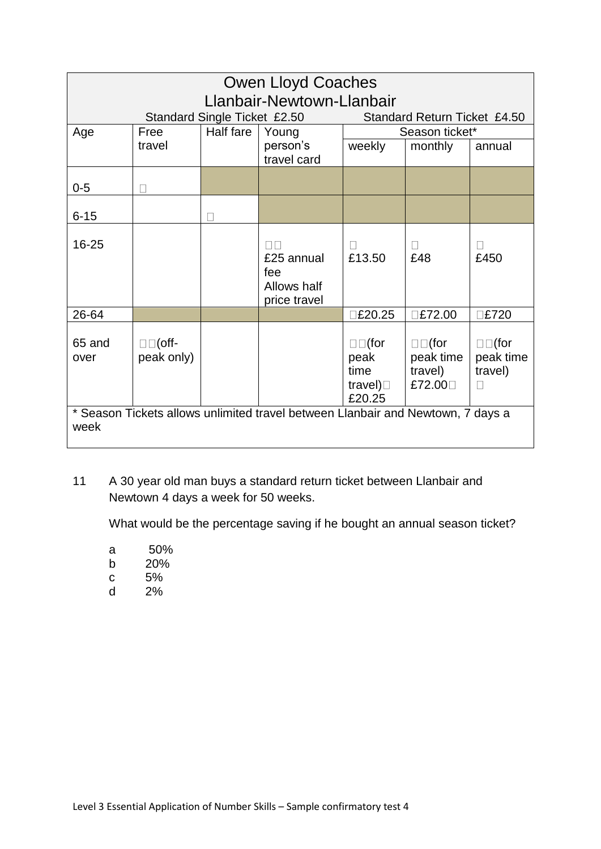| <b>Owen Lloyd Coaches</b> |                          |                              |                                                                                 |                                                            |                                                   |                                                     |
|---------------------------|--------------------------|------------------------------|---------------------------------------------------------------------------------|------------------------------------------------------------|---------------------------------------------------|-----------------------------------------------------|
|                           |                          |                              | Llanbair-Newtown-Llanbair                                                       |                                                            |                                                   |                                                     |
|                           |                          | Standard Single Ticket £2.50 |                                                                                 |                                                            | Standard Return Ticket £4.50                      |                                                     |
| Age                       | Free                     | Half fare                    | Young                                                                           |                                                            | Season ticket*                                    |                                                     |
|                           | travel                   |                              | person's<br>travel card                                                         | weekly                                                     | monthly                                           | annual                                              |
| $0 - 5$                   |                          |                              |                                                                                 |                                                            |                                                   |                                                     |
| $6 - 15$                  |                          | Г                            |                                                                                 |                                                            |                                                   |                                                     |
| 16-25                     |                          |                              | $\Box\Box$<br>£25 annual<br>fee<br>Allows half<br>price travel                  | П<br>£13.50                                                | £48                                               | $\Box$<br>£450                                      |
| 26-64                     |                          |                              |                                                                                 | <b>E20.25</b>                                              | <b>E72.00</b>                                     | <b>E720</b>                                         |
| 65 and<br>over            | $□□($ off-<br>peak only) |                              |                                                                                 | $\square$ (for<br>peak<br>time<br>travel) $\Box$<br>£20.25 | $\square$ (for<br>peak time<br>travel)<br>£72.00□ | $\square \square$ (for<br>peak time<br>travel)<br>П |
| week                      |                          |                              | * Season Tickets allows unlimited travel between Llanbair and Newtown, 7 days a |                                                            |                                                   |                                                     |

11 A 30 year old man buys a standard return ticket between Llanbair and Newtown 4 days a week for 50 weeks.

What would be the percentage saving if he bought an annual season ticket?

- a 50%
- b 20%
- c 5%
- d 2%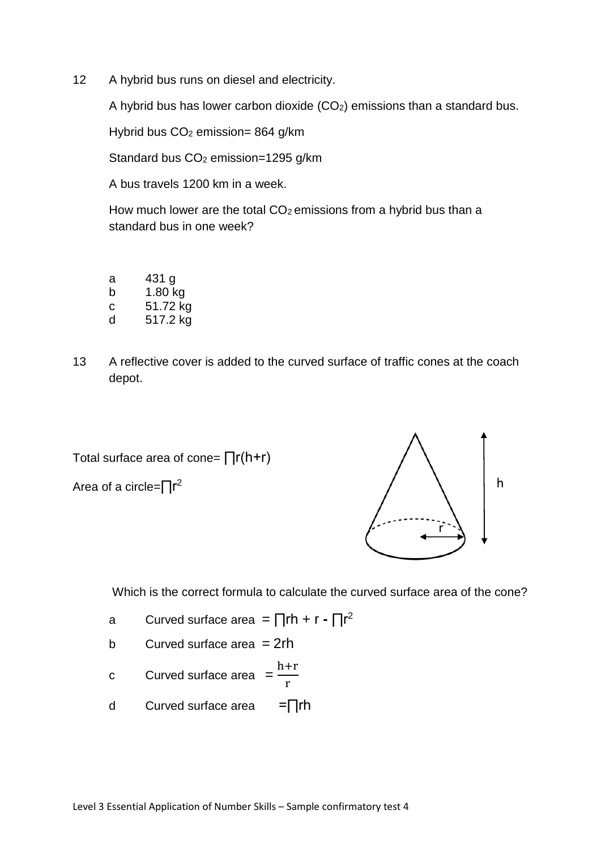12 A hybrid bus runs on diesel and electricity.

A hybrid bus has lower carbon dioxide  $(CO<sub>2</sub>)$  emissions than a standard bus.

Hybrid bus  $CO<sub>2</sub>$  emission= 864 g/km

Standard bus CO<sub>2</sub> emission=1295 g/km

A bus travels 1200 km in a week.

How much lower are the total CO<sub>2</sub> emissions from a hybrid bus than a standard bus in one week?

| a | 431 g    |
|---|----------|
| b | 1.80 kg  |
| C | 51.72 kg |
| d | 517.2 kg |

13 A reflective cover is added to the curved surface of traffic cones at the coach depot.

Total surface area of cone= ∏r(h+r)

Area of a circle=∏r<sup>2</sup>



Which is the correct formula to calculate the curved surface area of the cone?

- a Curved surface area = ∏rh + r ∏r<sup>2</sup>
- b Curved surface area  $= 2rh$
- c Curved surface area  $=$   $\frac{h+r}{h}$ r
- d Curved surface area =∏rh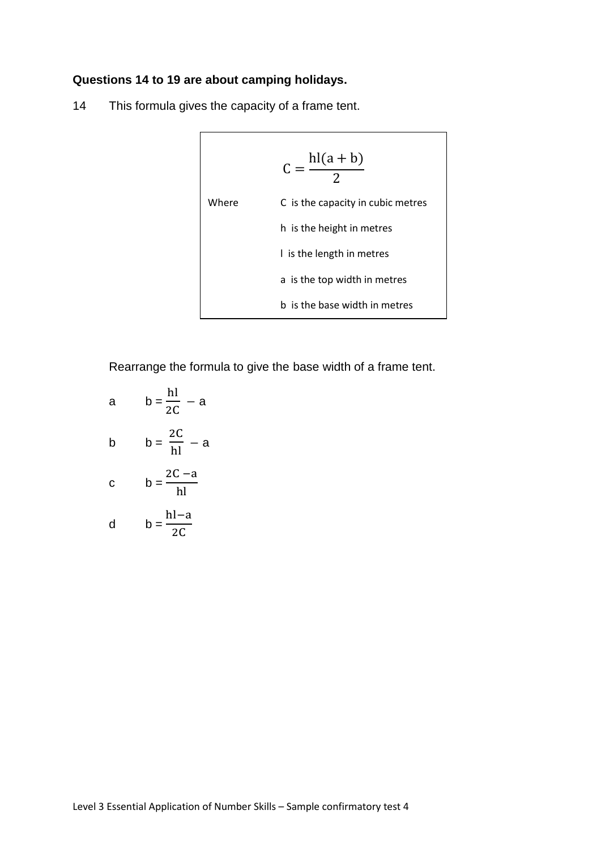## **Questions 14 to 19 are about camping holidays.**

14 This formula gives the capacity of a frame tent.

$$
C = \frac{hl(a + b)}{2}
$$
  
Where   
C is the capacity in cubic metres  
h is the height in metres  
l is the length in metres  
a is the top width in metres  
b is the base width in metres

Rearrange the formula to give the base width of a frame tent.

a 
$$
b = \frac{hl}{2C} - a
$$
  
\nb  $b = \frac{2C}{hl} - a$   
\nc  $b = \frac{2C - a}{hl}$   
\nd  $b = \frac{hl - a}{2C}$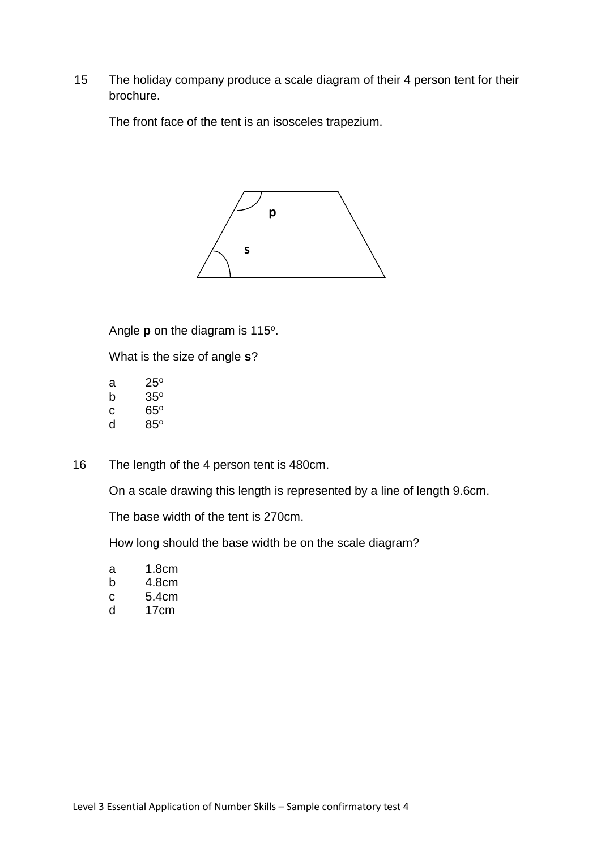15 The holiday company produce a scale diagram of their 4 person tent for their brochure.

The front face of the tent is an isosceles trapezium.



Angle **p** on the diagram is 115°.

What is the size of angle **s**?

| а | $25^\circ$ |
|---|------------|
| b | $35^\circ$ |
| С | $65^\circ$ |
|   |            |

- d 85<sup>o</sup>
- 16 The length of the 4 person tent is 480cm.

On a scale drawing this length is represented by a line of length 9.6cm.

The base width of the tent is 270cm.

How long should the base width be on the scale diagram?

a 1.8cm b 4.8cm c 5.4cm

d 17cm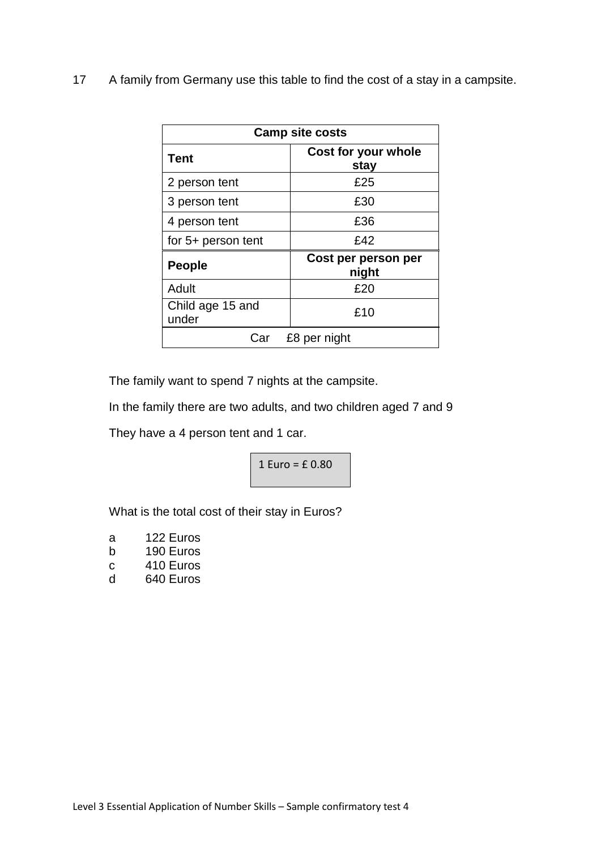17 A family from Germany use this table to find the cost of a stay in a campsite.

| <b>Camp site costs</b>    |                              |  |
|---------------------------|------------------------------|--|
| Tent                      | Cost for your whole<br>stay  |  |
| 2 person tent             | £25                          |  |
| 3 person tent             | £30                          |  |
| 4 person tent             | £36                          |  |
| for 5+ person tent        | £42                          |  |
| <b>People</b>             | Cost per person per<br>night |  |
| Adult                     | £20                          |  |
| Child age 15 and<br>under | £10                          |  |
| Car                       | £8 per night                 |  |

The family want to spend 7 nights at the campsite.

In the family there are two adults, and two children aged 7 and 9

They have a 4 person tent and 1 car.

$$
1 \,\text{Euro} = \text{f } 0.80
$$

What is the total cost of their stay in Euros?

| a | 122 Euros   |
|---|-------------|
| ᅛ | $100$ Euroo |

- b 190 Euros c 410 Euros
- d 640 Euros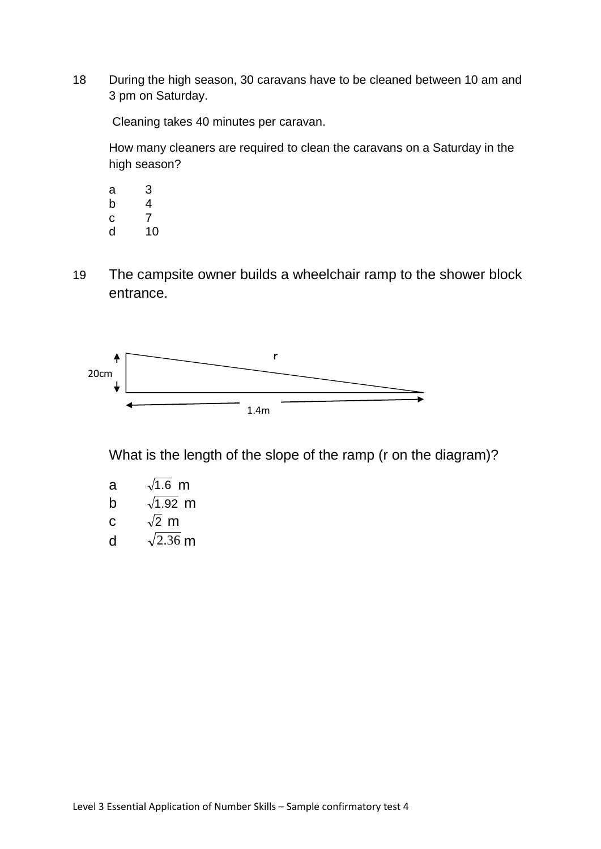18 During the high season, 30 caravans have to be cleaned between 10 am and 3 pm on Saturday.

Cleaning takes 40 minutes per caravan.

How many cleaners are required to clean the caravans on a Saturday in the high season?

- a 3 b  $\begin{array}{cc} 4 \\ c \end{array}$  $\mathbf{C}$ d 10
- 19 The campsite owner builds a wheelchair ramp to the shower block entrance.



What is the length of the slope of the ramp (r on the diagram)?

| а | $\sqrt{1.6}$ m  |
|---|-----------------|
| b | $\sqrt{1.92}$ m |
| C | $\sqrt{2}$ m    |
| d | $\sqrt{2.36}$ m |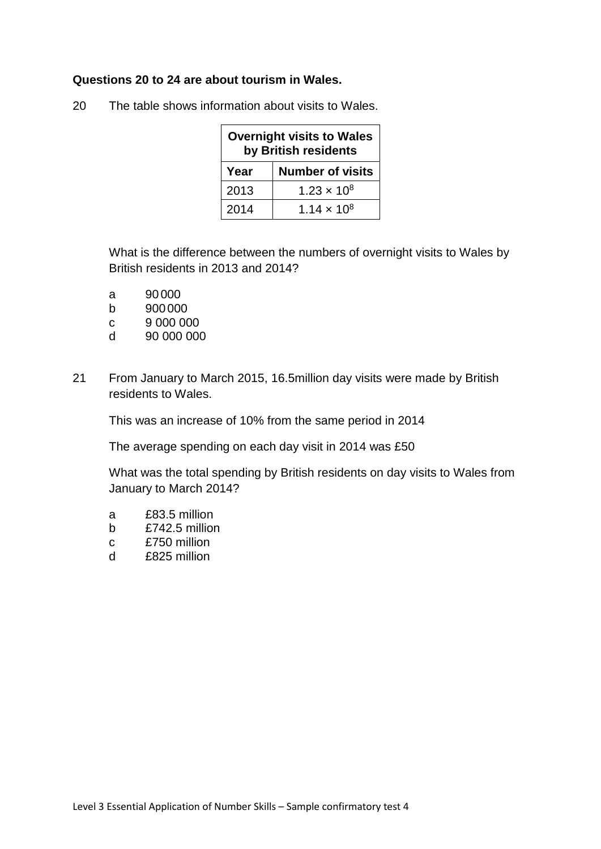### **Questions 20 to 24 are about tourism in Wales.**

| <b>Overnight visits to Wales</b><br>by British residents |                         |
|----------------------------------------------------------|-------------------------|
| Year                                                     | <b>Number of visits</b> |
| 2013                                                     | $1.23 \times 10^{8}$    |
| 2014                                                     | $1.14 \times 10^{8}$    |

20 The table shows information about visits to Wales.

What is the difference between the numbers of overnight visits to Wales by British residents in 2013 and 2014?

- a 90 000
- b 900000
- c 9 000 000
- d 90 000 000
- 21 From January to March 2015, 16.5million day visits were made by British residents to Wales.

This was an increase of 10% from the same period in 2014

The average spending on each day visit in 2014 was £50

What was the total spending by British residents on day visits to Wales from January to March 2014?

- a £83.5 million
- b £742.5 million
- c £750 million
- d £825 million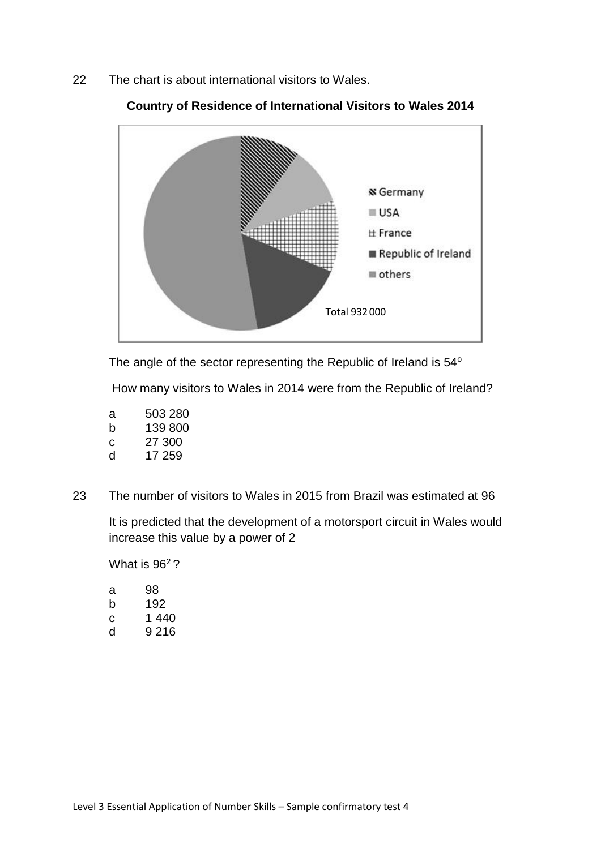22 The chart is about international visitors to Wales.



**Country of Residence of International Visitors to Wales 2014**

The angle of the sector representing the Republic of Ireland is 54°

How many visitors to Wales in 2014 were from the Republic of Ireland?

- a 503 280 b 139 800 c 27 300
- d 17 259
- 23 The number of visitors to Wales in 2015 from Brazil was estimated at 96

It is predicted that the development of a motorsport circuit in Wales would increase this value by a power of 2

What is 96<sup>2</sup>?

| a | 98    |
|---|-------|
| b | 192   |
| С | 1 440 |
| d | 9 216 |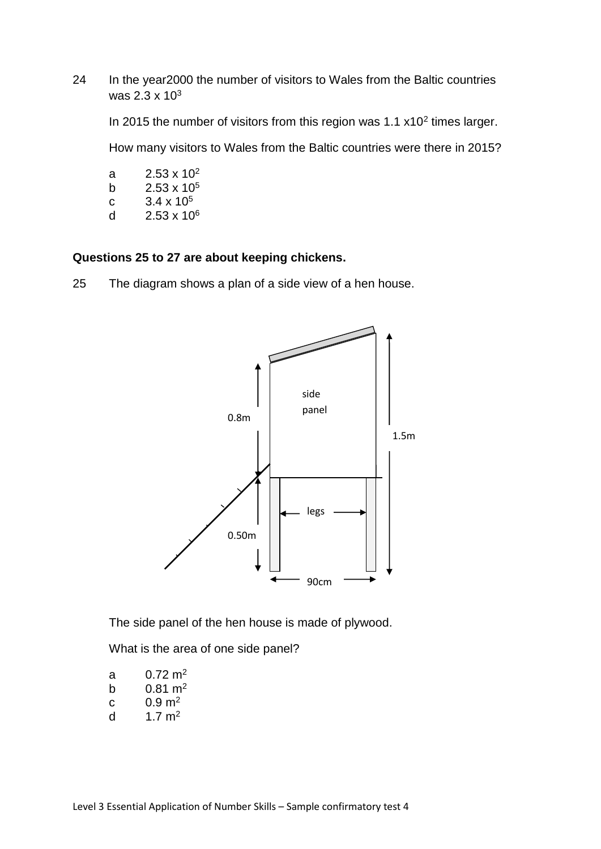24 In the year2000 the number of visitors to Wales from the Baltic countries was 2.3 x 10<sup>3</sup>

In 2015 the number of visitors from this region was  $1.1 \times 10^2$  times larger.

How many visitors to Wales from the Baltic countries were there in 2015?

- a  $2.53 \times 10^2$ b  $2.53 \times 10^5$
- c  $3.4 \times 10^5$
- d  $2.53 \times 10^6$

**Questions 25 to 27 are about keeping chickens.**

25 The diagram shows a plan of a side view of a hen house.



The side panel of the hen house is made of plywood.

What is the area of one side panel?

| a | $0.72 \text{ m}^2$ |
|---|--------------------|
| b | $0.81 \text{ m}^2$ |
| C | $0.9 \text{ m}^2$  |
| d | 1.7 $m2$           |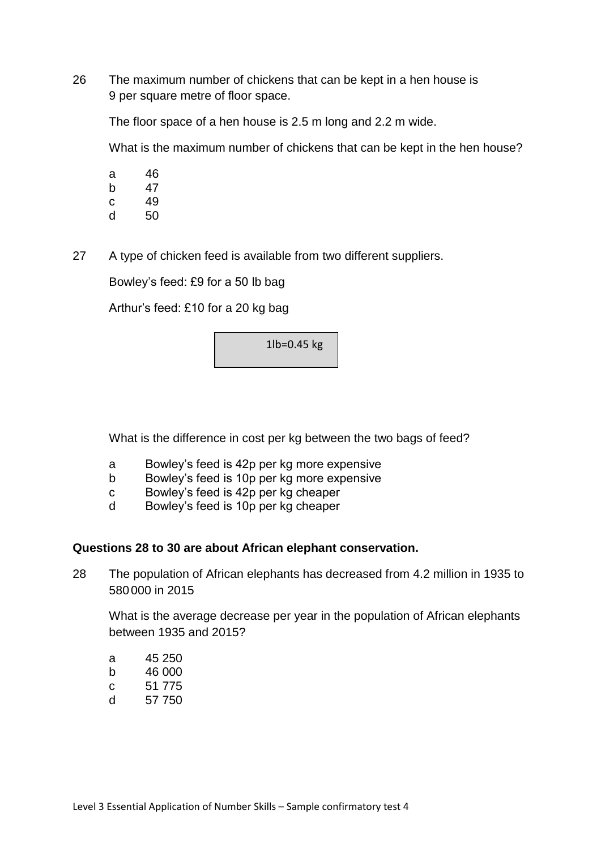26 The maximum number of chickens that can be kept in a hen house is 9 per square metre of floor space.

The floor space of a hen house is 2.5 m long and 2.2 m wide.

What is the maximum number of chickens that can be kept in the hen house?

- a 46
- b 47
- c 49
- d 50
- 27 A type of chicken feed is available from two different suppliers.

Bowley's feed: £9 for a 50 lb bag

Arthur's feed: £10 for a 20 kg bag

1lb=0.45 kg

What is the difference in cost per kg between the two bags of feed?

- a Bowley's feed is 42p per kg more expensive
- b Bowley's feed is 10p per kg more expensive
- c Bowley's feed is 42p per kg cheaper
- d Bowley's feed is 10p per kg cheaper

### **Questions 28 to 30 are about African elephant conservation.**

28 The population of African elephants has decreased from 4.2 million in 1935 to 580000 in 2015

What is the average decrease per year in the population of African elephants between 1935 and 2015?

| a | 45 250 |
|---|--------|
| b | 46 000 |

- c 51 775
- d 57 750